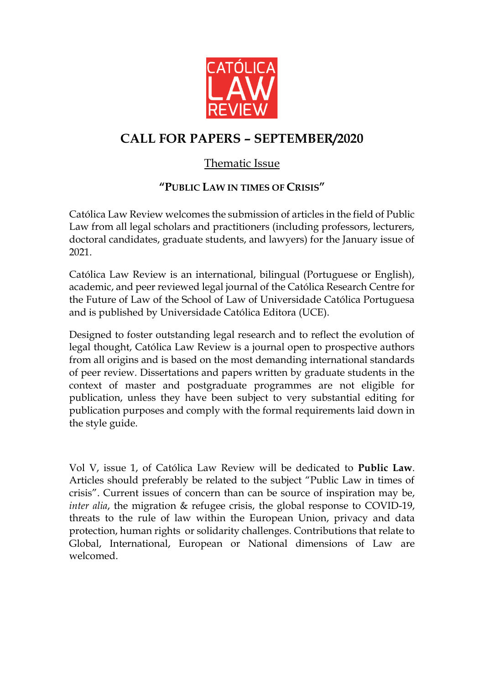

## **CALL FOR PAPERS – SEPTEMBER/2020**

## Thematic Issue

## **"PUBLIC LAW IN TIMES OF CRISIS"**

Católica Law Review welcomes the submission of articles in the field of Public Law from all legal scholars and practitioners (including professors, lecturers, doctoral candidates, graduate students, and lawyers) for the January issue of 2021.

Católica Law Review is an international, bilingual (Portuguese or English), academic, and peer reviewed legal journal of the Católica Research Centre for the Future of Law of the School of Law of Universidade Católica Portuguesa and is published by Universidade Católica Editora (UCE).

Designed to foster outstanding legal research and to reflect the evolution of legal thought, Católica Law Review is a journal open to prospective authors from all origins and is based on the most demanding international standards of peer review. Dissertations and papers written by graduate students in the context of master and postgraduate programmes are not eligible for publication, unless they have been subject to very substantial editing for publication purposes and comply with the formal requirements laid down in the style guide.

Vol V, issue 1, of Católica Law Review will be dedicated to **Public Law**. Articles should preferably be related to the subject "Public Law in times of crisis". Current issues of concern than can be source of inspiration may be, *inter alia*, the migration & refugee crisis, the global response to COVID-19, threats to the rule of law within the European Union, privacy and data protection, human rights or solidarity challenges. Contributions that relate to Global, International, European or National dimensions of Law are welcomed.